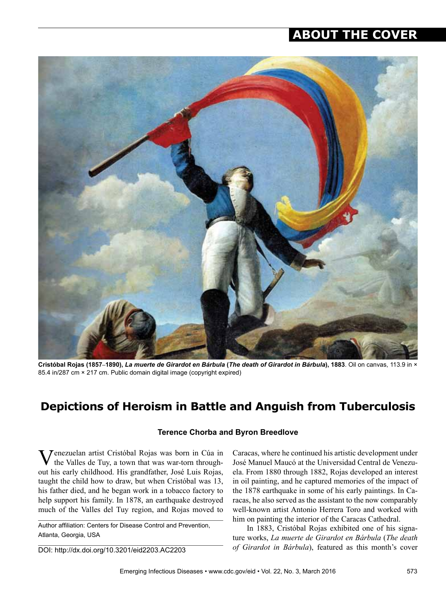## **ABOUT THE COVER**



**Cristóbal Rojas (1857–1890),** *La muerte de Girardot en Bárbula* **(***The death of Girardot in Bárbula***), 1883**. Oil on canvas, 113.9 in × 85.4 in/287 cm × 217 cm. Public domain digital image (copyright expired)

## **Depictions of Heroism in Battle and Anguish from Tuberculosis**

## **Terence Chorba and Byron Breedlove**

**Tenezuelan artist Cristóbal Rojas was born in Cúa in** the Valles de Tuy, a town that was war-torn throughout his early childhood. His grandfather, José Luis Rojas, taught the child how to draw, but when Cristóbal was 13, his father died, and he began work in a tobacco factory to help support his family. In 1878, an earthquake destroyed much of the Valles del Tuy region, and Rojas moved to

Author affiliation: Centers for Disease Control and Prevention, Atlanta, Georgia, USA

DOI: http://dx.doi.org/10.3201/eid2203.AC2203

Caracas, where he continued his artistic development under José Manuel Maucó at the Universidad Central de Venezuela. From 1880 through 1882, Rojas developed an interest in oil painting, and he captured memories of the impact of the 1878 earthquake in some of his early paintings. In Caracas, he also served as the assistant to the now comparably well-known artist Antonio Herrera Toro and worked with him on painting the interior of the Caracas Cathedral.

In 1883, Cristóbal Rojas exhibited one of his signature works, *La muerte de Girardot en Bárbula* (*The death of Girardot in Bárbula*), featured as this month's cover